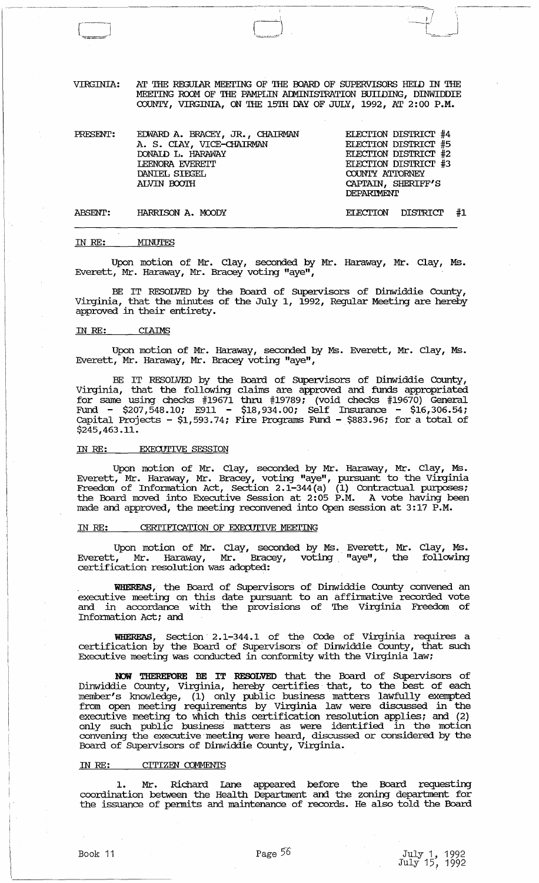VIRGINIA: AT THE REGUIAR MEEI'ING OF THE OOARD OF SUPERVISORS HElD IN THE MEETING ROOM OF THE PAMPLIN ADMINISTRATION BUIIDING, DINWIDDIE COUNTY, VIRGINIA, ON THE 15TH DAY OF JULY, 1992, AT 2:00 P.M.

PRESENT: EDWARD A. BRACEY, JR., CHAIRMAN A. S. CLAY, VICE-cHAIRMAN DONAID L. HARAWAY ELECTION DISTRICT #4 ELECTION DISTRICT #5 ELECTION DISTRICT #2 EIECTION DISTRICT #3 COUNTY ATTORNEY CAPl'AIN, SHERIFF'S DEPARIMENT LEENORA EVEREIT DANIEL SIEGEL ALVIN BOOTH ABSENT: HARRISON A. MOODY EIECTION DISTRICT  $#1$ 

## IN *RE:* MINUTES

Upon motion of Mr. Clay, seconded by Mr. Haraway, Mr. Clay, Ms. Everett, Mr. Haraway, Mr. Bracey voting "aye",

BE IT RESOLVED by the Board of Supervisors of Dinwiddie County, Virginia, that the minutes of the July 1, 1992, Regular Meeting are hereby approved in their entirety.

#### IN *RE:* CIAIMS

Upon motion of Mr. Haraway, seconded by Ms. Everett, Mr. Clay, Ms. Everett, Mr. Haraway, Mr. Bracey voting "aye",

BE IT RESOLVED by the Board of Supervisors of Dinwiddie County, Virginia, that the following claims are approved and funds appropriated for same using checks #19671 thru #19789; (void checks #19670) General Fund - \$207,548.10; E911 - \$18,934.00; Self Insurance - \$16,306.54; capital Projects - \$1,593.74; Fire Programs Fund - \$883.96; for a total of \$245,463.11.

#### IN RE: EXECUTIVE SESSION

Upon motion of Mr. Clay, seconded by Mr. Haraway, Mr. Clay, Ms. Everett, Mr. Haraway, Mr. Bracey, voting "aye", pursuant to the Virginia Freedom of Information Act, Section 2.1-344(a) (1) Contractual purposes; the Board moved into Executive Session at 2:05 P.M. A vote having been made and approved, the meeting reconvened into Open session at 3:17 P.M.

# IN RE: CERTIFICATION OF EXECUTIVE MEETING

Upon motion of Mr. Clay, seconded by Ms. Everett, Mr. Clay, Ms. Everett, Mr. Haraway, Mr. Bracey, voting, "aye", the following certification resolution was adopted:

WHEREAS, the Board of Supervisors of Dinwiddie County convened an executive meeting on this date pursuant to an affirmative recorded vote and in accordance with the provisions of The Virginia Freedom of Information Act; and

WHEREAS, section' 2.1-344.1 of the Code of Virginia requires a certification by the Board of Supervisors' of Dinwiddie County, that such Executive meeting was conducted in confonnity with the Virginia law;

**WW THEREFORE BE IT RESOLVED** that the Board of SUpervisors of Dinwiddie County, Virginia, hereby certifies that, to the best of each meniber's knowledge, (1) only public business matters lawfully exempted from open meeting requirements by Virginia law were discussed in the executive meeting to which this certification resolution applies; and (2) only such public business matters as were identified in the motion convening the executive meeting were heard, discussed or considered by the Board of Supervisors of Dinwiddie County, Virginia.

#### IN RE: CITIZEN COMMENTS

1. Mr. Richard lane appeared. before the Board requesting coordination between the Health Department and the zoning department for the issuance of pennits and maintenance of records. He also told the Board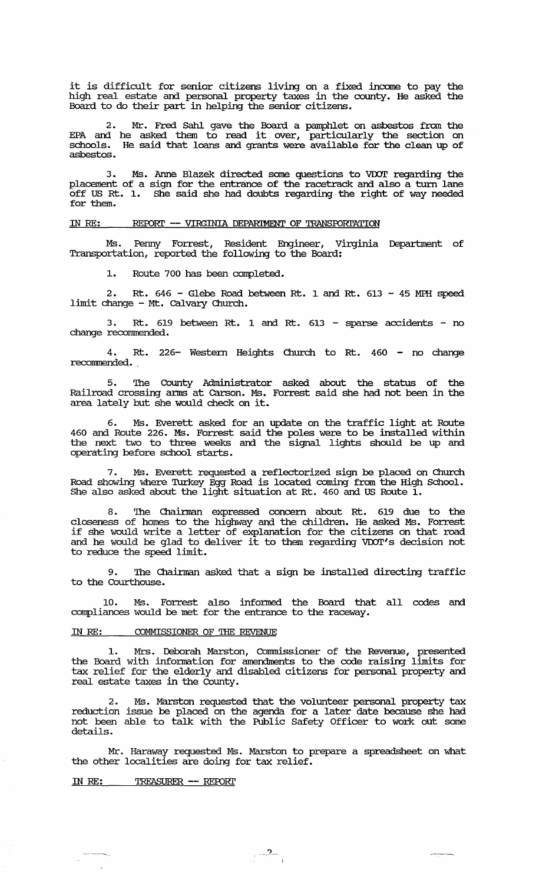it is difficult for senior citizens living on a fixed income to pay the high real estate and personal property taxes in the county. He asked the Board to do their part in helping the senior citizens.

2. Mr. Fred Sahl gave the Board a pamphlet on asbestos from the EPA and he asked them to read it over, particularly the section on schools. He said that loans and grants were available for the clean up of asbestos.

Ms. Anne Blazek directed some questions to VDOT regarding the placement of a sign for the entrance of the racetrack and also a turn lane off uS Rt. 1. She said she had doubts regarding the right of way needed for them.

### IN RE: REPORT -- VIRGINIA DEPARIMENT OF TRANSPORTATION

Ms. Penny Forrest, Resident Engineer, Virginia Department of Transportation, reported the following to the Board:

1. Route 700 has been completed.

2. Rt.  $646$  - Glebe Road between Rt. 1 and Rt.  $613$  - 45 MPH speed limit change - Mt. Calvary Church.

3. Rt. 619 between Rt. 1 and Rt. 613 - sparse accidents - no change recommended.

4. Rt. 226- Western Heights Church to Rt. 460 - no change reconnnended.

5. The County Administrator asked about the status of the Railroad crossing anus at Carson. Ms. Forrest said she had not been in the area lately but she would check on it.

6. Ms. Everett asked for an update on the traffic light at Route 460 and Route 226. Ms. Forrest said the poles were to be installed within the next two to three weeks and the signal lights should be up and operating before school starts.

7. Ms. Everett requested a reflectorized sign be placed on Church Road showing where Turkey Egg Road is located coming from the High School. She also asked about the light situation at Rt. 460 and US Route L

8. The Chainnan expressed concern about Rt. 619 due to the closeness of homes to the highway and the children. He asked Ms. Forrest if she would write a letter of explanation for the citizens on that road and he would be glad to deliver it to them regarding voor's decision not to reduce the speed limit.

9. The Chairman asked that a sign be installed directing traffic to the Courthouse.

10. Ms. Forrest also infonned the Board that all codes and compliances would be met for the entrance to the raceway.

## IN RE: COMMISSIONER OF THE REVENUE

1. Mrs. Deborah Marston, Commissioner of the Revenue, presented the Board with infonnation for amendments to the code raising limits for tax relief for the elderly and disabled citizens for personal property and real estate taxes in the County.

2. Ms. Marston requested that the volunteer personal property tax reduction issue be placed on the agenda for a later date because she had not been able to talk with the Public Safety Officer to work out some details.

Mr. Haraway requested Ms. Marston to prepare a spreadsheet on what the other localities are doing for tax relief.

 $\frac{1}{2}$ 

# IN RE: TREASURER -- REroRl'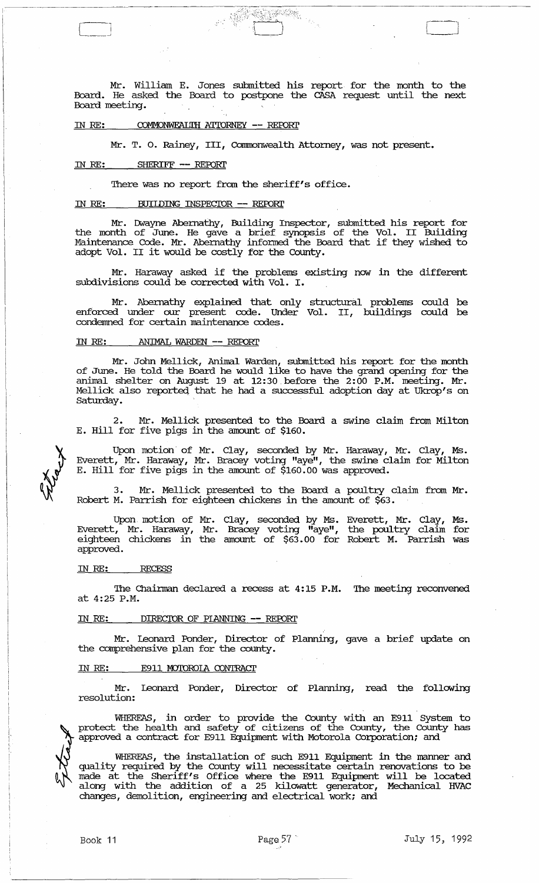Mr. William E. Jones submitted his report for the month to the Board. He asked the Board to postpone the CASA request until the next Board meeting.

gebore.

## IN RE: COMMONWEAL'lli A'ITORNEY **-- REFORI'**

Mr. T. O. Rainey, III, Commonwealth Attorney, was not present.

## IN RE: SHERIFF **-- REroRI'**

~~-----~-~~~~~-.--

There was no report from the sheriff's office.

## IN RE: BUIIDING INSPECIDR **-- REroRI'**

Mr. Dwayne Abernathy, Building Inspector, submitted his report for the month of June. He gave a brief synopsis of the Vol. II Building Maintenance Code. Mr. Abernathy informed the Board that if they wished to adopt Vol. II it would be costly for the County.

Mr. Haraway asked if the problems existing now in the different subdivisions could be corrected with Vol. 1.

Mr. Abernathy explained that only structural problems could be enforced. under our present code. Under Vol. II, buildings could be condemned for certain maintenance codes.

## IN RE: ANIMAL WARDEN **-- REroRI'**

Mr. John Mellick, Animal Warden, submitted his report for the month of June. He told the Board he would like to have the grand opening for the animal shelter on August 19 at 12:30. before the 2:00 P.M. meeting. Mr. Mellick also reported, that he had a successful adoption day at Ukrop's on Saturday.

2. Mr. Mellick presented to the Board a swine claim from Milton E. Hill for five pigs in the amount of \$160.

Upon motion' of Mr. Clay, seconded by Mr. Haraway, Mr. Clay, Ms. Everett, Mr. Haraway, Mr. Bracey voting "aye", the swine claim for Milton E. Hill for five pigs in the amount of \$160.00 was approved.

3. Mr. Mellick presented to the Board a poultry claim from Mr. Robert M. Parrish for eighteen chickens in the amount of \$63.

Upon. motion of Mr. Clay, seconded by Ms. Everett, Mr. Clay, Ms. Everett, Mr. Haraway, Mr. Bracey voting "aye", the poultry claim for eighteen chickens in the amount of \$63.00 for Robert M. Parrish was approved.

## IN RE: RECESS

The Chairman declared a recess at 4:15 P.M. The meeting reconvened at 4:25 P.M.

# IN RE: DIRECIDR OF PIANNING **--** REroRI'

Mr. leonard Ponder, Director of Planning, gave a brief update on the comprehensive plan for the county.

# IN RE: E911 MOIOROIA CONTRACT

Mr. leonard Ponder, Director of Planning, read the following resolution:

WHEREAS, in order to provide the County with an E911 System to protect the health and safety of citizens of the County, the County has approved a contract for E911 Equipment with Motorola Corporation; and

WHEREAS, the installation of such E911 Equipment in the manner and quality required by the County will necessitate certain renovations to be made at the Sheriff's Office where the E911 Equipment will be located along with the addition of a 25 kilowatt generator, Mechanical HVAC changes, demolition, engineering and electrical work; and



C-]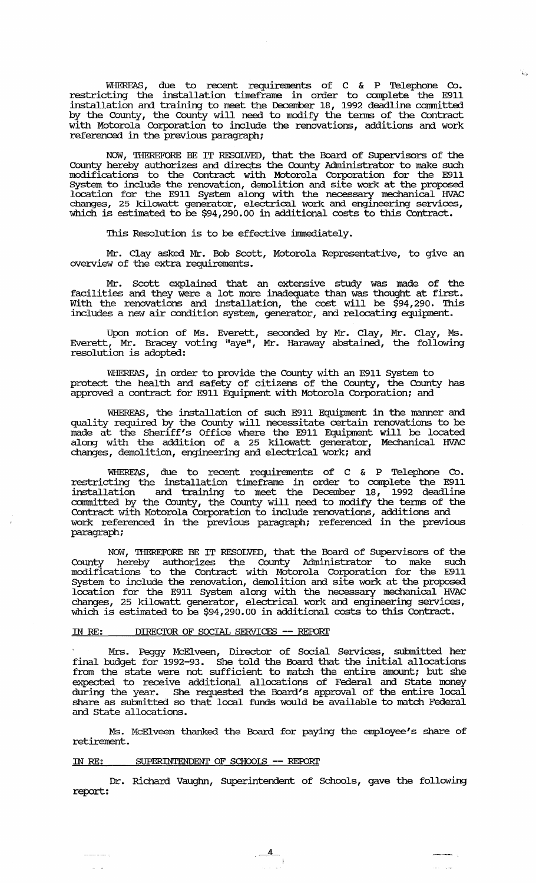WHEREAS, due to recent requirements of C & P Telephone Co. restricting the installation timeframe in order to complete the E911 installation and training to meet the December 18, 1992 deadline connnitted by the County, the County will need to modify the tenus of the Contract with Motorola Corporation to include the renovations, additions and work referenced in the previous paragraph;

 $\mathcal{C}_k$ 

NOW, 'IHEREFORE BE IT RESOLVED, that the Board of SUpervisors of the County hereby authorizes and directs the County Administrator to make such modifications to the Contract with Motorola Corporation for the E911 System to include the renovation, demolition and site work at the proposed location for the E911 System along with the necessary mechanical HVAC changes, 25 kilowatt generator, electrical work and engineering services, which is estimated to be \$94,290.00 in additional costs to this Contract.

This Resolution is to be effective immediately.

Mr. Clay asked Mr. Bob Scott, Motorola Representative, to give an overview of the extra requirements.

Mr. Scott explained that an extensive study was made of the facilities and they were a lot more inadequate than was thought at first. With the renovations and installation, the cost will be \$94,290. This includes a new air condition system, generator, and relocating equipment.

Upon motion of Ms. Everett, seconded by Mr. Clay, Mr. Clay, Ms. Everett, Mr. Bracey voting "aye", Mr. Haraway abstained, the following resolution is adopted:

WHEREAS, in order to provide the County with an E911 System to protect the health and safety of citizens of the County, the County has approved a contract for E911 Equipment with Motorola Corporation; and

WHEREAS, the installation of such E911 Equipment in the manner and quality required by the County will necessitate certain renovations to be made at the Sheriff's Office where the E911 Equipment will be located<br>along with the addition of a 25 kilowatt generator, Mechanical HVAC along with the addition of a 25 kilowatt generator, Mechanical HVAC changes, demolition, engineering and electrical work; and

WHEREAS, due to recent requirements of C & P Telephone Co. restricting the installation timeframe in order to complete the E911 installation and training to meet the December 18, 1992 deadline committed by the County, the County will need to modify the terms of the Contract with Motorola Corporation to include renovations, additions and work referenced in the previous paragraph; referenced in the previous paragraph;

NOW, 'IHEREFORE BE IT RESOLVED, that the Board of SUpervisors of the County hereby authorizes the County Administrator to make such modifications to the Contract with Motorola Corporation for the E911 System to include the renovation, demolition and site work at the proposed location for the E911 System along with the necessary mechanical HVAC changes, 25 kilowatt generator, electrical work and engineering services, which is estimated to be \$94,290.00 in additional costs to this Contract.

### IN RE: DIRECTOR OF SOCIAL SERVICES -- REPORT

Mrs. Peggy McElveen, Director of Social Services, submitted her final budget for 1992-93. She told the Board that the initial allocations from the state were not sufficient to match the entire amount; but she expected to receive additional allocations of Federal and State money during the year. She requested the Board's approval of the entire local share as submitted so that local funds would be available to match Federal and State allocations.

Ms. McElveen thanked the Board for paying the employee's share of retirement.

## IN RE: SUPERINTENDENT OF SCHOOLS **-- REFORl'**

 $\mu$  . The same  $\mu$  is a second  $\mu$ 

Dr. Richard Vaughn, Superintendent of Schools, gave the following report:

 $\overline{4}$ 

I

and product by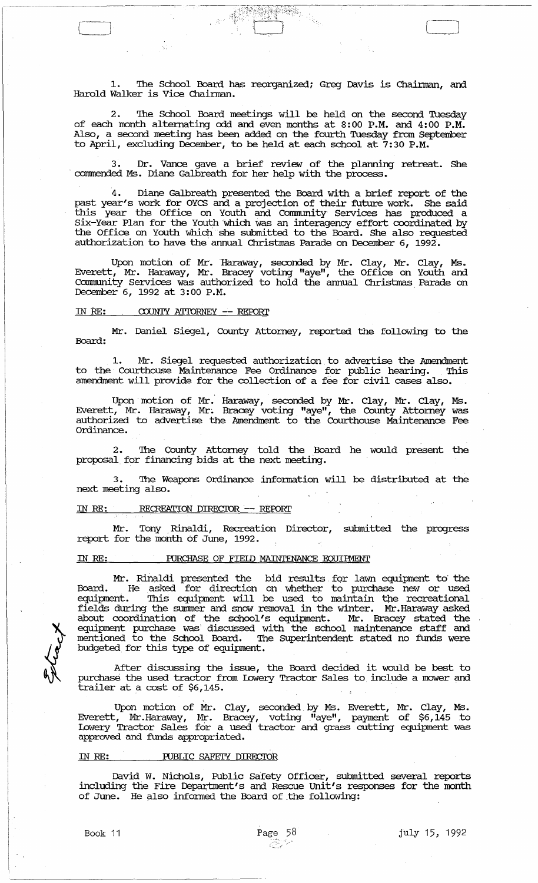The School Board has reorganized; Greg Davis is Chairman, and Harold Walker is Vice Chairman.

2. 'Ihe School Board meetings will be held on the second Tuesday of each month alternating odd and even months at 8:00 P.M. and 4:00 P.M. Also, a second meeting has been added on the fourth Tuesday from September to April, excluding December, to be held at each school at 7:30 P.M.

3. Dr. Vance gave a brief review of the planning retreat. She commended Ms. Diane Galbreath for her help with the process.

4. Diane Galbreath presented the Board with a brief report of the past year's work for OYCS and a projection of their future work. She said this year the Office on Youth and conununity services has produced a Six-Year Plan for the Youth which was an interagency effort coordinated by the Office on Youth which she submitted to the Board. She also requested authorization to have the' annual Christmas Parade on December 6, 1992.

Upon motion of Mr. Haraway, seconded by Mr. Clay, Mr. Clay, Ms. Everett, Mr. Haraway, Mr. Bracey voting "aye", the Office on Youth and community services was authorized to hold the annual Christmas Parade on December 6, 1992 at 3:00 P.M.

## IN RE: COUNTY ATTORNEY -- REPORT

Ŵ

Mr. Daniel Siegel, County Attorney, reported the following to the Board:

1. Mr. Siegel requested authorization to advertise the Amendment to the Courthouse Maintenance Fee Ordinance for public hearing. This amendment will provide for the collection of a fee for civil cases also.

Upon motion of Mr.' Haraway, seconded by Mr. Clay, Mr. Clay, Ms. Everett, Mr. Haraway, Mr~ Bracey voting "aye", the County Attorney was authorized to advertise the Amendment to the Courthouse Maintenance Fee ordinance.

2. The County Attorney told the Board he would present the proposal. for financing bids at the next meeting.

3. 'Ihe Weapons Ordinance infonnation will be distributed at the next meeting also.

# IN *RE:* RECREATION DIRECIOR-- REFDRl'

Mr. Tony Rinaldi, Recreation Director, submitted the progress report for the month of June, 1992.

# IN *RE:* IURCHASE OF FIEID MAINTENANCE EQUIFMENT

Mr. Rinaldi presented the bid results for lawn equipment to the Board. He asked for direction on whether to purchase new or used equipment. This equipment will be used to maintain the recreational fields during the summer and snow removal in the winter. Mr. Haraway asked about coordination of the school's equipment. Mr. Bracey stated the equipment purchase was discussed with the school maintenance staff and mentioned to the School Board. The Superintendent stated no funds were budgeted for this type of equipment.

After discussing the issue, the Board decided it would be best to purchase the used tractor from lowery Tractor Sales to include a mower and parameter at a cost of \$6,145. The second trailer at a cost of \$6,145.

Upon motion of Mr. Clay, seconded, by Ms. Everett, Mr. Clay, Ms. Everett, Mr. Haraway, Mr. Bracey, voting "aye", payment of \$6,145 to Iowexy Tractor Sales for a used tractor and grass. cutting equipment was approved and funds appropriated.

## IN RE: PUBLIC SAFETY DIRECTOR

David W. Nichols, Public Safety Officer, submitted several reports including the Fire Department's and Rescue Unit's responses for the month of June. He also informed the Board of the following:

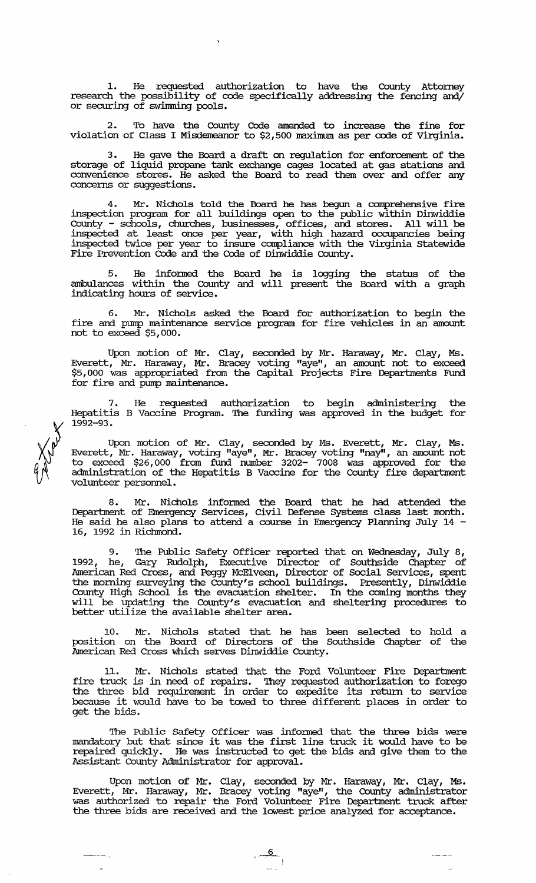1. He requested authorization to have the County Attorney research the possibility of code specifically addressing the fencing and/ or securing of swimming pools.

2. To have the county Code amended to increase the fine for violation of Class I Misdemeanor to \$2,500 maximum as per code of Virginia.

3. He gave the Board a draft on regulation for enforcement of the storage of liquid propane tank exchange cages located at gas stations and convenience stores. He asked the Board to read them over and offer any concerns or suggestions.

4. Mr. Nichols told the Board he has begun a comprehensive fire inspection program for all buildings open to the public within Dinwiddie County - schools, churches, businesses, offices, and stores. All will be inspected at least once per year, with high hazard occupancies being inspected twice per year to insure compliance with the Virginia statewide Fire Prevention Code and the Code of Dinwiddie county.

5. He informed the Board he is logging the status of the ambulances within the County and will present the Board with a graph indicating hours of service.

6. Mr. Nichols asked the Board for authorization to begin the fire and pump maintenance service program for fire vehicles in an amount not to exceed \$5,000.

Upon motion of Mr. Clay, seconded by Mr. Haraway, Mr. Clay, Ms. Everett, Mr. Haraway, Mr. Bracey voting "aye", an amount not to exceed \$5,000 was appropriated from the Capital Projects Fire Departments Fund for fire and pump maintenance.

7. He requested authorization to begin administering the Hepatitis B Vaccine Program. The funding was approved in the budget for 1992-93.

Upon motion of Mr. Clay, seconded by Ms. Everett, Mr. Clay, Ms. Everett, Mr. Haraway, voting "aye", Mr. Bracey voting "nay", an amount not to exceed \$26,000 from fund number 3202- 7008 was approved for the administration of the Hepatitis B Vaccine for the County fire department volunteer personnel.

8. Mr. Nichols infonned the Board that he had attended the Deparbnent of Emergency services, Civil Defense Systems class last month. He said he also plans to attend a course in Emergency Planning July 14 - 16, 1992 in Richmond.

9. The Public Safety Officer reported that on Wednesday, July 8, 1992, he, Gary Rudolph, Executive Director of Southside Chapter of American Red Cross, and Peggy McElveen, Director of Social Services, spent the morning surveying the county's school buildings. Presently, Dinwiddie County High School is the evacuation shelter. In the coming months they will be updating the County's evacuation and sheltering procedures to better utilize the available shelter area.

10. Mr. Nichols stated that he has been selected to hold a position on the Board of Directors of the Southside Chapter of the American Red Cross which serves Dinwiddie County.

11. Mr. Nichols stated that the Ford Volunteer Fire Department fire truck is in need of repairs. They requested authorization to forego the three bid requirement in order to expedite its return to service because it would have to be towed to three different places in order to get the bids.

The Public Safety Officer was infonned that the three bids were mandatory but that since it was the first line truck it would have to be repaired quickly. He was instructed. to get the bids and give them to the Assistant County Administrator for approval.

Upon motion of Mr. Clay, seconded by Mr. Haraway, Mr. clay, Ms. Everett, Mr. Haraway, Mr. Bracey voting "aye", the County administrator was authorized to repair the Ford Volunteer Fire Department truck after the three bids are received and the lowest price analyzed for acceptance.

 $-\frac{6}{1}$ 

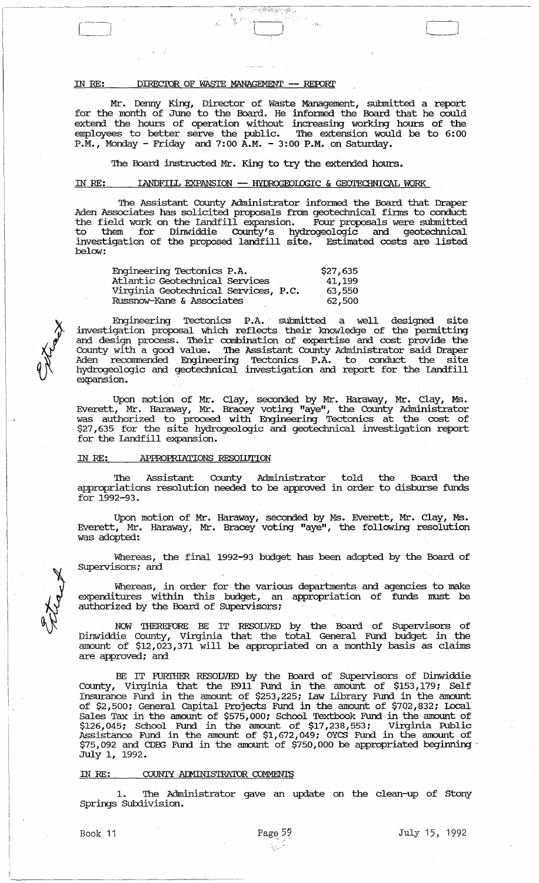#### IN RE: DIRECTOR OF WASTE MANAGEMENT -- REPORT

Mr. Denny King, Director of Waste Management, submitted a report for the month of June to the Board. He infonned the Board that he could extend the hours of operation without increasing working hours of the employees to better serve the public. The extension would be to 6:00  $P.M.,$  Monday - Friday and 7:00 A.M. - 3:00 P.M. on Saturday.

<u>रुकामञ्जूषा जु</u>

The Board instructed Mr. King to try the extended hours.

### IN RE: LANDFILL EXPANSION -- HYDROGEOI.CGIC & GEOTECHNICAL WORK

The Assistant County Administrator infonned the Board that Draper Aden Associates has solicited proposals from geotechnical finns to conduct the field work on the Landfill expansion. Four proposals were submitted to them for Dinwiddie County's hydrogeologic and geotechnical investigation of the proposed landfill site. Estimated costs are listed  $\mathbf{below:}$  . The contract of  $\mathbf{C}$ 

| Engineering Tectonics P.A.           | \$27,635 |
|--------------------------------------|----------|
| Atlantic Geotechnical Services       | 41,199   |
| Virginia Geotechnical Services, P.C. | 63,550   |
| Russnow-Kane & Associates            | 62,500   |

Engineering Tectonics P.A. submitted a well designed site investigation proposal which reflects their lmowledge of the pennitting and design process. Their combination of expertise and cost provide the County with a good value. The Assistant County Administrator said Draper Aden recommended Engineering Tectonics P.A. to conduct the site hydrogeologic and geotechnical investigation and report for the Landfill expansion. .

Upon motion of Mr. Clay, seconded by Mr. Haraway, Mr. Clay, Ms. Everett, Mr. Haraway, Mr. Bracey voting "aye", the County Administrator was authorized to proceed with Engineering Tectonics at the cost of \$27,635 for the site hydrogeologic and geotechnical investigation report for the Landfill expansion.

## IN RE: APPROPRIATIONS RESOLUTION

'!he Assistant County Administrator told the Board the appropriations resolution needed to be approved in order to disburse funds for 1992-93.

Upon motion of Mr. Haraway, seconded by Ms. Everett, Mr. Clay, Ms. Everett, Mr. Haraway, Mr. Bracey voting "aye", the following resolution was adopted:

Whereas, the final 1992-93 budget has been adopted by the Board of supervisors; and

Whereas, in order for the various departments and agencies to make expenditures within this budget, an appropriation of funds must be authorized by the Board of SUpervisors;

NOW THEREFORE BE IT RESOLVED by the Board of SUpervisors of Dinwiddie County, Virginia that the total General Fund budget in the amount of \$12,023,371 will be appropriated on a monthly basis as claims are approved; and

BE IT FURITHER RESOLVED by the Board of Supervisors of Dinwiddie  $\frac{1}{2}$  County, Virginia that the E911 Fund in the amount of \$153,179; Self Insurance Fund in the amount of \$253,225; law Library Fund in the amount of \$2,500; General Capital Projects Fund in the amount of \$702,832; Local Sales Tax in the amount of \$575,000; School Textbook Fund in the amount of \$126,045; School Fund in the amount of \$17,238,553; Virginia Public Assistance Fund in the amount of \$1,672,049; OYCS Fund in the amount of \$75,092 and CDEG Fund in the amount of \$750,000 be appropriated beginning , July 1, 1992.

## IN RE: COUNTY ADMINISTRATOR COMMENTS

1. The Administrator gave an update on the clean-up of Stony springs SUbdivision.

 $\Box$